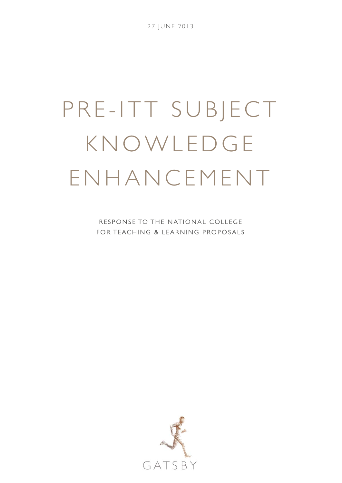27 JUNE 2013

# PRE-ITT SUBJECT KNOWLEDGE ENHANCEMENT

RESPONSE TO THE NATIONAL COLLEGE FOR TEACHING & LEARNING PROPOSALS

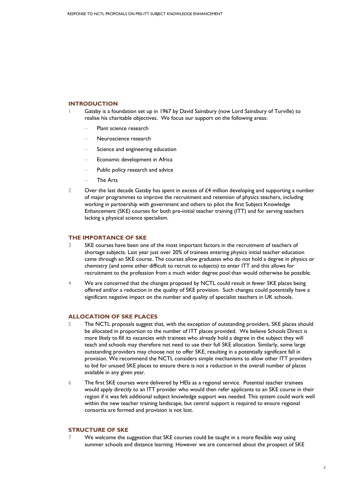## **INTRODUCTION**

- Gatsby is a foundation set up in 1967 by David Sainsbury (now Lord Sainsbury of Turville) to realise his charitable objectives. We focus our support on the following areas:
	- Plant science research
	- − Neuroscience research
	- Science and engineering education
	- Economic development in Africa
	- Public policy research and advice
	- − The Arts
- 2 Over the last decade Gatsby has spent in excess of £4 million developing and supporting a number of major programmes to improve the recruitment and retention of physics teachers, including working in partnership with government and others to pilot the first Subject Knowledge Enhancement (SKE) courses for both pre-initial teacher training (ITT) and for serving teachers lacking a physical science specialism.

# **THE IMPORTANCE OF SKE**

- 3 SKE courses have been one of the most important factors in the recruitment of teachers of shortage subjects. Last year just over 20% of trainees entering physics initial teacher education came through an SKE course. The courses allow graduates who do not hold a degree in physics or chemistry (and some other difficult to recruit to subjects) to enter ITT and this allows for recruitment to the profession from a much wider degree pool than would otherwise be possible.
- 4 We are concerned that the changes proposed by NCTL could result in fewer SKE places being offered and/or a reduction in the quality of SKE provision. Such changes could potentially have a significant negative impact on the number and quality of specialist teachers in UK schools.

# **ALLOCATION OF SKE PLACES**

- 5 The NCTL proposals suggest that, with the exception of outstanding providers, SKE places should be allocated in proportion to the number of ITT places provided. We believe Schools Direct is more likely to fill its vacancies with trainees who already hold a degree in the subject they will teach and schools may therefore not need to use their full SKE allocation. Similarly, some large outstanding providers may choose not to offer SKE, resulting in a potentially significant fall in provision. We recommend the NCTL considers simple mechanisms to allow other ITT providers to bid for unused SKE places to ensure there is not a reduction in the overall number of places available in any given year.
- 6 The first SKE courses were delivered by HEIs as a regional service. Potential teacher trainees would apply directly to an ITT provider who would then refer applicants to an SKE course in their region if it was felt additional subject knowledge support was needed. This system could work well within the new teacher training landscape, but central support is required to ensure regional consortia are formed and provision is not lost.

# **STRUCTURE OF SKE**

7 We welcome the suggestion that SKE courses could be taught in a more flexible way using summer schools and distance learning. However we are concerned about the prospect of SKE